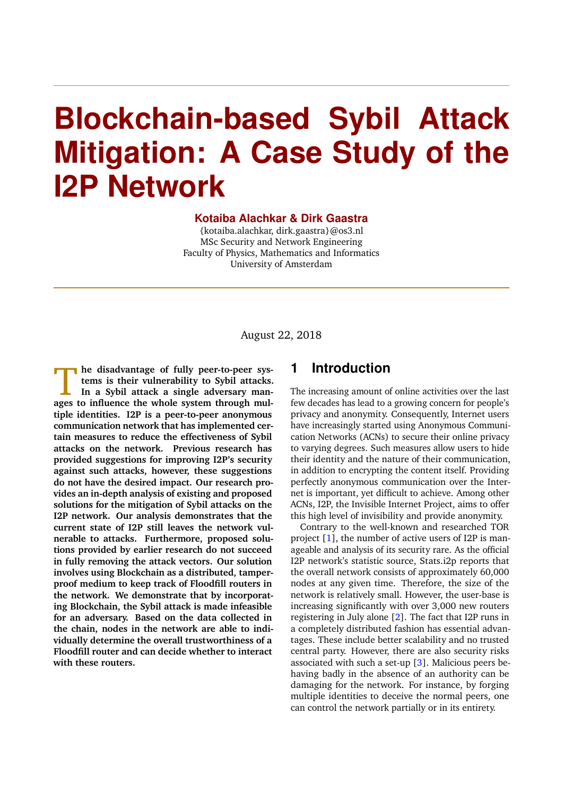# **Blockchain-based Sybil Attack Mitigation: A Case Study of the I2P Network**

#### **Kotaiba Alachkar & Dirk Gaastra**

{kotaiba.alachkar, dirk.gaastra}@os3.nl MSc Security and Network Engineering Faculty of Physics, Mathematics and Informatics University of Amsterdam

August 22, 2018

**ages to influence is set of fully peer-to-peer systems is their vulnerability to Sybil attacks.<br>
In a Sybil attack a single adversary manages to influence the whole system through mulhe disadvantage of fully peer-to-peer systems is their vulnerability to Sybil attacks. In a Sybil attack a single adversary mantiple identities. I2P is a peer-to-peer anonymous communication network that has implemented certain measures to reduce the effectiveness of Sybil attacks on the network. Previous research has provided suggestions for improving I2P's security against such attacks, however, these suggestions do not have the desired impact. Our research provides an in-depth analysis of existing and proposed solutions for the mitigation of Sybil attacks on the I2P network. Our analysis demonstrates that the current state of I2P still leaves the network vulnerable to attacks. Furthermore, proposed solutions provided by earlier research do not succeed in fully removing the attack vectors. Our solution involves using Blockchain as a distributed, tamperproof medium to keep track of Floodfill routers in the network. We demonstrate that by incorporating Blockchain, the Sybil attack is made infeasible for an adversary. Based on the data collected in the chain, nodes in the network are able to individually determine the overall trustworthiness of a Floodfill router and can decide whether to interact with these routers.**

## **1 Introduction**

The increasing amount of online activities over the last few decades has lead to a growing concern for people's privacy and anonymity. Consequently, Internet users have increasingly started using Anonymous Communication Networks (ACNs) to secure their online privacy to varying degrees. Such measures allow users to hide their identity and the nature of their communication, in addition to encrypting the content itself. Providing perfectly anonymous communication over the Internet is important, yet difficult to achieve. Among other ACNs, I2P, the Invisible Internet Project, aims to offer this high level of invisibility and provide anonymity.

Contrary to the well-known and researched TOR project [\[1\]](#page-10-0), the number of active users of I2P is manageable and analysis of its security rare. As the official I2P network's statistic source, Stats.i2p reports that the overall network consists of approximately 60,000 nodes at any given time. Therefore, the size of the network is relatively small. However, the user-base is increasing significantly with over 3,000 new routers registering in July alone [\[2\]](#page-10-1). The fact that I2P runs in a completely distributed fashion has essential advantages. These include better scalability and no trusted central party. However, there are also security risks associated with such a set-up [\[3\]](#page-10-2). Malicious peers behaving badly in the absence of an authority can be damaging for the network. For instance, by forging multiple identities to deceive the normal peers, one can control the network partially or in its entirety.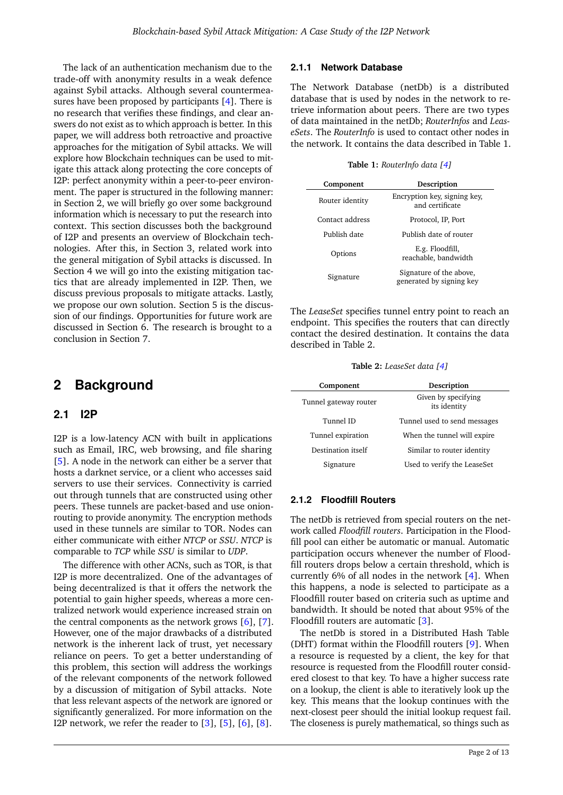The lack of an authentication mechanism due to the trade-off with anonymity results in a weak defence against Sybil attacks. Although several countermeasures have been proposed by participants [\[4\]](#page-10-3). There is no research that verifies these findings, and clear answers do not exist as to which approach is better. In this paper, we will address both retroactive and proactive approaches for the mitigation of Sybil attacks. We will explore how Blockchain techniques can be used to mitigate this attack along protecting the core concepts of I2P: perfect anonymity within a peer-to-peer environment. The paper is structured in the following manner: in Section [2,](#page-1-0) we will briefly go over some background information which is necessary to put the research into context. This section discusses both the background of I2P and presents an overview of Blockchain technologies. After this, in Section [3,](#page-3-0) related work into the general mitigation of Sybil attacks is discussed. In Section [4](#page-3-1) we will go into the existing mitigation tactics that are already implemented in I2P. Then, we discuss previous proposals to mitigate attacks. Lastly, we propose our own solution. Section [5](#page-9-0) is the discussion of our findings. Opportunities for future work are discussed in Section [6.](#page-10-4) The research is brought to a conclusion in Section [7.](#page-10-5)

## <span id="page-1-0"></span>**2 Background**

#### **2.1 I2P**

I2P is a low-latency ACN with built in applications such as Email, IRC, web browsing, and file sharing [\[5\]](#page-10-6). A node in the network can either be a server that hosts a darknet service, or a client who accesses said servers to use their services. Connectivity is carried out through tunnels that are constructed using other peers. These tunnels are packet-based and use onionrouting to provide anonymity. The encryption methods used in these tunnels are similar to TOR. Nodes can either communicate with either *NTCP* or *SSU*. *NTCP* is comparable to *TCP* while *SSU* is similar to *UDP*.

The difference with other ACNs, such as TOR, is that I2P is more decentralized. One of the advantages of being decentralized is that it offers the network the potential to gain higher speeds, whereas a more centralized network would experience increased strain on the central components as the network grows  $[6]$ ,  $[7]$ . However, one of the major drawbacks of a distributed network is the inherent lack of trust, yet necessary reliance on peers. To get a better understanding of this problem, this section will address the workings of the relevant components of the network followed by a discussion of mitigation of Sybil attacks. Note that less relevant aspects of the network are ignored or significantly generalized. For more information on the I2P network, we refer the reader to  $[3]$ ,  $[5]$ ,  $[6]$ ,  $[8]$ .

#### **2.1.1 Network Database**

The Network Database (netDb) is a distributed database that is used by nodes in the network to retrieve information about peers. There are two types of data maintained in the netDb; *RouterInfos* and *LeaseSets*. The *RouterInfo* is used to contact other nodes in the network. It contains the data described in Table [1.](#page-1-1)

**Table 1:** *RouterInfo data [\[4\]](#page-10-3)*

<span id="page-1-1"></span>

| Component       | Description                                         |
|-----------------|-----------------------------------------------------|
| Router identity | Encryption key, signing key,<br>and certificate     |
| Contact address | Protocol, IP, Port                                  |
| Publish date    | Publish date of router                              |
| Options         | E.g. Floodfill,<br>reachable, bandwidth             |
| Signature       | Signature of the above,<br>generated by signing key |

The *LeaseSet* specifies tunnel entry point to reach an endpoint. This specifies the routers that can directly contact the desired destination. It contains the data described in Table [2.](#page-1-2)

**Table 2:** *LeaseSet data [\[4\]](#page-10-3)*

<span id="page-1-2"></span>

| Component             | Description                         |
|-----------------------|-------------------------------------|
| Tunnel gateway router | Given by specifying<br>its identity |
| Tunnel ID             | Tunnel used to send messages        |
| Tunnel expiration     | When the tunnel will expire         |
| Destination itself    | Similar to router identity          |
| Signature             | Used to verify the LeaseSet         |

#### **2.1.2 Floodfill Routers**

The netDb is retrieved from special routers on the network called *Floodfill routers*. Participation in the Floodfill pool can either be automatic or manual. Automatic participation occurs whenever the number of Floodfill routers drops below a certain threshold, which is currently 6% of all nodes in the network [\[4\]](#page-10-3). When this happens, a node is selected to participate as a Floodfill router based on criteria such as uptime and bandwidth. It should be noted that about 95% of the Floodfill routers are automatic [\[3\]](#page-10-2).

The netDb is stored in a Distributed Hash Table (DHT) format within the Floodfill routers [\[9\]](#page-10-10). When a resource is requested by a client, the key for that resource is requested from the Floodfill router considered closest to that key. To have a higher success rate on a lookup, the client is able to iteratively look up the key. This means that the lookup continues with the next-closest peer should the initial lookup request fail. The closeness is purely mathematical, so things such as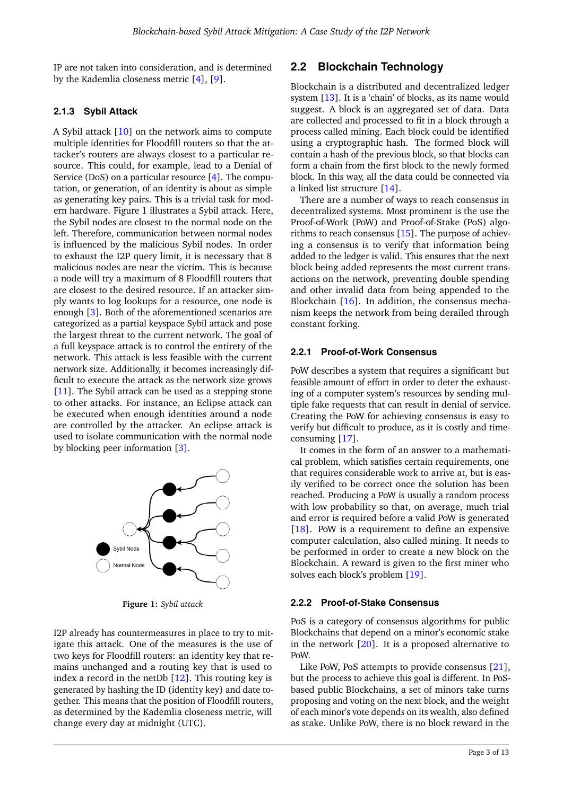IP are not taken into consideration, and is determined by the Kademlia closeness metric [\[4\]](#page-10-3), [\[9\]](#page-10-10).

#### **2.1.3 Sybil Attack**

A Sybil attack [\[10\]](#page-10-11) on the network aims to compute multiple identities for Floodfill routers so that the attacker's routers are always closest to a particular resource. This could, for example, lead to a Denial of Service (DoS) on a particular resource [\[4\]](#page-10-3). The computation, or generation, of an identity is about as simple as generating key pairs. This is a trivial task for modern hardware. Figure [1](#page-2-0) illustrates a Sybil attack. Here, the Sybil nodes are closest to the normal node on the left. Therefore, communication between normal nodes is influenced by the malicious Sybil nodes. In order to exhaust the I2P query limit, it is necessary that 8 malicious nodes are near the victim. This is because a node will try a maximum of 8 Floodfill routers that are closest to the desired resource. If an attacker simply wants to log lookups for a resource, one node is enough [\[3\]](#page-10-2). Both of the aforementioned scenarios are categorized as a partial keyspace Sybil attack and pose the largest threat to the current network. The goal of a full keyspace attack is to control the entirety of the network. This attack is less feasible with the current network size. Additionally, it becomes increasingly difficult to execute the attack as the network size grows  $[11]$ . The Sybil attack can be used as a stepping stone to other attacks. For instance, an Eclipse attack can be executed when enough identities around a node are controlled by the attacker. An eclipse attack is used to isolate communication with the normal node by blocking peer information [\[3\]](#page-10-2).

<span id="page-2-0"></span>

**Figure 1:** *Sybil attack*

I2P already has countermeasures in place to try to mitigate this attack. One of the measures is the use of two keys for Floodfill routers: an identity key that remains unchanged and a routing key that is used to index a record in the netDb  $[12]$ . This routing key is generated by hashing the ID (identity key) and date together. This means that the position of Floodfill routers, as determined by the Kademlia closeness metric, will change every day at midnight (UTC).

## <span id="page-2-1"></span>**2.2 Blockchain Technology**

Blockchain is a distributed and decentralized ledger system [\[13\]](#page-10-14). It is a 'chain' of blocks, as its name would suggest. A block is an aggregated set of data. Data are collected and processed to fit in a block through a process called mining. Each block could be identified using a cryptographic hash. The formed block will contain a hash of the previous block, so that blocks can form a chain from the first block to the newly formed block. In this way, all the data could be connected via a linked list structure [\[14\]](#page-10-15).

There are a number of ways to reach consensus in decentralized systems. Most prominent is the use the Proof-of-Work (PoW) and Proof-of-Stake (PoS) algorithms to reach consensus [\[15\]](#page-11-0). The purpose of achieving a consensus is to verify that information being added to the ledger is valid. This ensures that the next block being added represents the most current transactions on the network, preventing double spending and other invalid data from being appended to the Blockchain [\[16\]](#page-11-1). In addition, the consensus mechanism keeps the network from being derailed through constant forking.

#### **2.2.1 Proof-of-Work Consensus**

PoW describes a system that requires a significant but feasible amount of effort in order to deter the exhausting of a computer system's resources by sending multiple fake requests that can result in denial of service. Creating the PoW for achieving consensus is easy to verify but difficult to produce, as it is costly and timeconsuming [\[17\]](#page-11-2).

It comes in the form of an answer to a mathematical problem, which satisfies certain requirements, one that requires considerable work to arrive at, but is easily verified to be correct once the solution has been reached. Producing a PoW is usually a random process with low probability so that, on average, much trial and error is required before a valid PoW is generated  $[18]$ . PoW is a requirement to define an expensive computer calculation, also called mining. It needs to be performed in order to create a new block on the Blockchain. A reward is given to the first miner who solves each block's problem [\[19\]](#page-11-4).

#### **2.2.2 Proof-of-Stake Consensus**

PoS is a category of consensus algorithms for public Blockchains that depend on a minor's economic stake in the network  $[20]$ . It is a proposed alternative to PoW.

Like PoW, PoS attempts to provide consensus [\[21\]](#page-11-6), but the process to achieve this goal is different. In PoSbased public Blockchains, a set of minors take turns proposing and voting on the next block, and the weight of each minor's vote depends on its wealth, also defined as stake. Unlike PoW, there is no block reward in the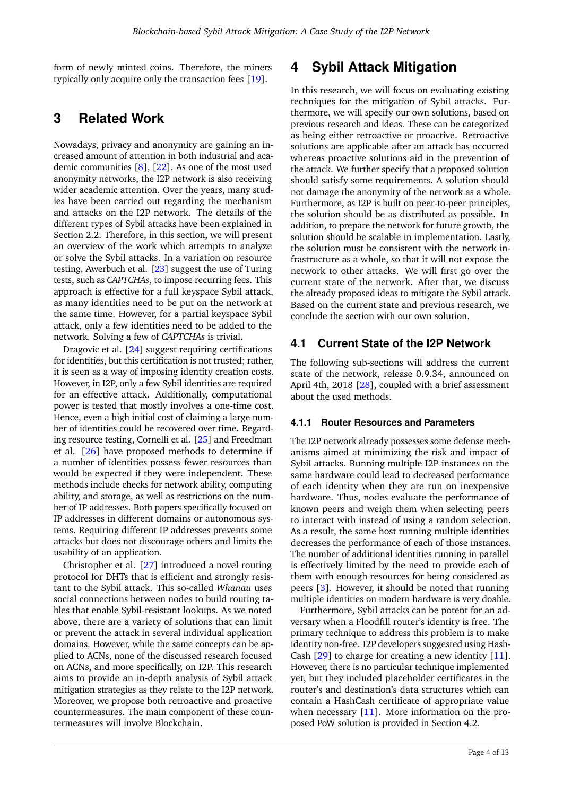form of newly minted coins. Therefore, the miners typically only acquire only the transaction fees [\[19\]](#page-11-4).

## <span id="page-3-0"></span>**3 Related Work**

Nowadays, privacy and anonymity are gaining an increased amount of attention in both industrial and academic communities  $[8]$ ,  $[22]$ . As one of the most used anonymity networks, the I2P network is also receiving wider academic attention. Over the years, many studies have been carried out regarding the mechanism and attacks on the I2P network. The details of the different types of Sybil attacks have been explained in Section [2.2.](#page-2-1) Therefore, in this section, we will present an overview of the work which attempts to analyze or solve the Sybil attacks. In a variation on resource testing, Awerbuch et al. [\[23\]](#page-11-8) suggest the use of Turing tests, such as *CAPTCHAs*, to impose recurring fees. This approach is effective for a full keyspace Sybil attack, as many identities need to be put on the network at the same time. However, for a partial keyspace Sybil attack, only a few identities need to be added to the network. Solving a few of *CAPTCHAs* is trivial.

Dragovic et al. [\[24\]](#page-11-9) suggest requiring certifications for identities, but this certification is not trusted; rather, it is seen as a way of imposing identity creation costs. However, in I2P, only a few Sybil identities are required for an effective attack. Additionally, computational power is tested that mostly involves a one-time cost. Hence, even a high initial cost of claiming a large number of identities could be recovered over time. Regarding resource testing, Cornelli et al. [\[25\]](#page-11-10) and Freedman et al. [\[26\]](#page-11-11) have proposed methods to determine if a number of identities possess fewer resources than would be expected if they were independent. These methods include checks for network ability, computing ability, and storage, as well as restrictions on the number of IP addresses. Both papers specifically focused on IP addresses in different domains or autonomous systems. Requiring different IP addresses prevents some attacks but does not discourage others and limits the usability of an application.

Christopher et al. [\[27\]](#page-11-12) introduced a novel routing protocol for DHTs that is efficient and strongly resistant to the Sybil attack. This so-called *Whanau* uses social connections between nodes to build routing tables that enable Sybil-resistant lookups. As we noted above, there are a variety of solutions that can limit or prevent the attack in several individual application domains. However, while the same concepts can be applied to ACNs, none of the discussed research focused on ACNs, and more specifically, on I2P. This research aims to provide an in-depth analysis of Sybil attack mitigation strategies as they relate to the I2P network. Moreover, we propose both retroactive and proactive countermeasures. The main component of these countermeasures will involve Blockchain.

# <span id="page-3-1"></span>**4 Sybil Attack Mitigation**

In this research, we will focus on evaluating existing techniques for the mitigation of Sybil attacks. Furthermore, we will specify our own solutions, based on previous research and ideas. These can be categorized as being either retroactive or proactive. Retroactive solutions are applicable after an attack has occurred whereas proactive solutions aid in the prevention of the attack. We further specify that a proposed solution should satisfy some requirements. A solution should not damage the anonymity of the network as a whole. Furthermore, as I2P is built on peer-to-peer principles, the solution should be as distributed as possible. In addition, to prepare the network for future growth, the solution should be scalable in implementation. Lastly, the solution must be consistent with the network infrastructure as a whole, so that it will not expose the network to other attacks. We will first go over the current state of the network. After that, we discuss the already proposed ideas to mitigate the Sybil attack. Based on the current state and previous research, we conclude the section with our own solution.

## <span id="page-3-2"></span>**4.1 Current State of the I2P Network**

The following sub-sections will address the current state of the network, release 0.9.34, announced on April 4th, 2018 [\[28\]](#page-11-13), coupled with a brief assessment about the used methods.

#### **4.1.1 Router Resources and Parameters**

The I2P network already possesses some defense mechanisms aimed at minimizing the risk and impact of Sybil attacks. Running multiple I2P instances on the same hardware could lead to decreased performance of each identity when they are run on inexpensive hardware. Thus, nodes evaluate the performance of known peers and weigh them when selecting peers to interact with instead of using a random selection. As a result, the same host running multiple identities decreases the performance of each of those instances. The number of additional identities running in parallel is effectively limited by the need to provide each of them with enough resources for being considered as peers [\[3\]](#page-10-2). However, it should be noted that running multiple identities on modern hardware is very doable.

Furthermore, Sybil attacks can be potent for an adversary when a Floodfill router's identity is free. The primary technique to address this problem is to make identity non-free. I2P developers suggested using Hash-Cash [\[29\]](#page-11-14) to charge for creating a new identity [\[11\]](#page-10-12). However, there is no particular technique implemented yet, but they included placeholder certificates in the router's and destination's data structures which can contain a HashCash certificate of appropriate value when necessary  $[11]$ . More information on the proposed PoW solution is provided in Section [4.2.](#page-4-0)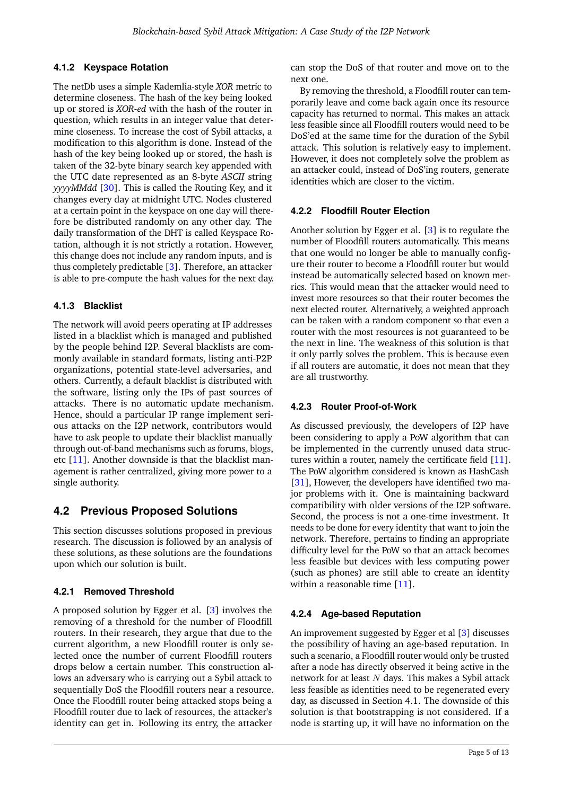#### **4.1.2 Keyspace Rotation**

The netDb uses a simple Kademlia-style *XOR* metric to determine closeness. The hash of the key being looked up or stored is *XOR-ed* with the hash of the router in question, which results in an integer value that determine closeness. To increase the cost of Sybil attacks, a modification to this algorithm is done. Instead of the hash of the key being looked up or stored, the hash is taken of the 32-byte binary search key appended with the UTC date represented as an 8-byte *ASCII* string *yyyyMMdd* [\[30\]](#page-11-15). This is called the Routing Key, and it changes every day at midnight UTC. Nodes clustered at a certain point in the keyspace on one day will therefore be distributed randomly on any other day. The daily transformation of the DHT is called Keyspace Rotation, although it is not strictly a rotation. However, this change does not include any random inputs, and is thus completely predictable [\[3\]](#page-10-2). Therefore, an attacker is able to pre-compute the hash values for the next day.

#### **4.1.3 Blacklist**

The network will avoid peers operating at IP addresses listed in a blacklist which is managed and published by the people behind I2P. Several blacklists are commonly available in standard formats, listing anti-P2P organizations, potential state-level adversaries, and others. Currently, a default blacklist is distributed with the software, listing only the IPs of past sources of attacks. There is no automatic update mechanism. Hence, should a particular IP range implement serious attacks on the I2P network, contributors would have to ask people to update their blacklist manually through out-of-band mechanisms such as forums, blogs, etc [\[11\]](#page-10-12). Another downside is that the blacklist management is rather centralized, giving more power to a single authority.

## <span id="page-4-0"></span>**4.2 Previous Proposed Solutions**

This section discusses solutions proposed in previous research. The discussion is followed by an analysis of these solutions, as these solutions are the foundations upon which our solution is built.

#### **4.2.1 Removed Threshold**

A proposed solution by Egger et al. [\[3\]](#page-10-2) involves the removing of a threshold for the number of Floodfill routers. In their research, they argue that due to the current algorithm, a new Floodfill router is only selected once the number of current Floodfill routers drops below a certain number. This construction allows an adversary who is carrying out a Sybil attack to sequentially DoS the Floodfill routers near a resource. Once the Floodfill router being attacked stops being a Floodfill router due to lack of resources, the attacker's identity can get in. Following its entry, the attacker

can stop the DoS of that router and move on to the next one.

By removing the threshold, a Floodfill router can temporarily leave and come back again once its resource capacity has returned to normal. This makes an attack less feasible since all Floodfill routers would need to be DoS'ed at the same time for the duration of the Sybil attack. This solution is relatively easy to implement. However, it does not completely solve the problem as an attacker could, instead of DoS'ing routers, generate identities which are closer to the victim.

#### **4.2.2 Floodfill Router Election**

Another solution by Egger et al. [\[3\]](#page-10-2) is to regulate the number of Floodfill routers automatically. This means that one would no longer be able to manually configure their router to become a Floodfill router but would instead be automatically selected based on known metrics. This would mean that the attacker would need to invest more resources so that their router becomes the next elected router. Alternatively, a weighted approach can be taken with a random component so that even a router with the most resources is not guaranteed to be the next in line. The weakness of this solution is that it only partly solves the problem. This is because even if all routers are automatic, it does not mean that they are all trustworthy.

#### **4.2.3 Router Proof-of-Work**

As discussed previously, the developers of I2P have been considering to apply a PoW algorithm that can be implemented in the currently unused data structures within a router, namely the certificate field [\[11\]](#page-10-12). The PoW algorithm considered is known as HashCash [\[31\]](#page-11-16), However, the developers have identified two major problems with it. One is maintaining backward compatibility with older versions of the I2P software. Second, the process is not a one-time investment. It needs to be done for every identity that want to join the network. Therefore, pertains to finding an appropriate difficulty level for the PoW so that an attack becomes less feasible but devices with less computing power (such as phones) are still able to create an identity within a reasonable time [\[11\]](#page-10-12).

#### **4.2.4 Age-based Reputation**

An improvement suggested by Egger et al [\[3\]](#page-10-2) discusses the possibility of having an age-based reputation. In such a scenario, a Floodfill router would only be trusted after a node has directly observed it being active in the network for at least  $N$  days. This makes a Sybil attack less feasible as identities need to be regenerated every day, as discussed in Section [4.1.](#page-3-2) The downside of this solution is that bootstrapping is not considered. If a node is starting up, it will have no information on the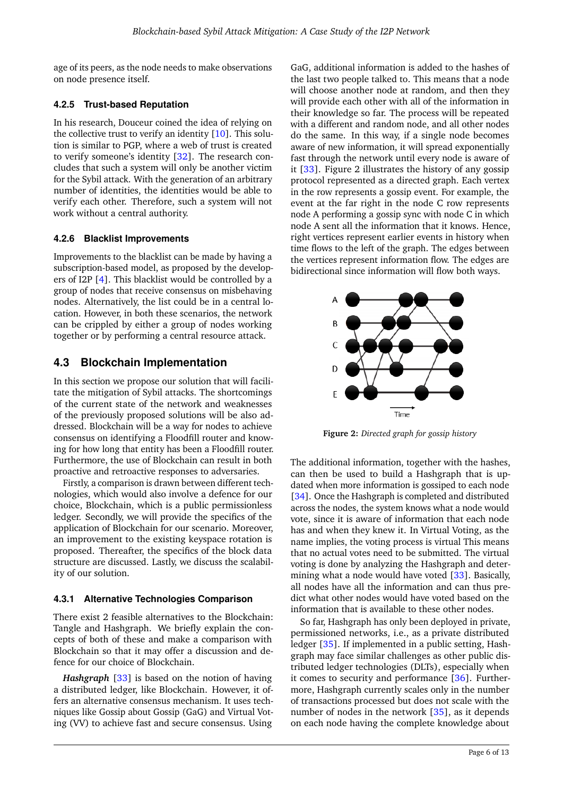age of its peers, as the node needs to make observations on node presence itself.

#### **4.2.5 Trust-based Reputation**

In his research, Douceur coined the idea of relying on the collective trust to verify an identity [\[10\]](#page-10-11). This solution is similar to PGP, where a web of trust is created to verify someone's identity [\[32\]](#page-11-17). The research concludes that such a system will only be another victim for the Sybil attack. With the generation of an arbitrary number of identities, the identities would be able to verify each other. Therefore, such a system will not work without a central authority.

#### **4.2.6 Blacklist Improvements**

Improvements to the blacklist can be made by having a subscription-based model, as proposed by the developers of I2P [\[4\]](#page-10-3). This blacklist would be controlled by a group of nodes that receive consensus on misbehaving nodes. Alternatively, the list could be in a central location. However, in both these scenarios, the network can be crippled by either a group of nodes working together or by performing a central resource attack.

## **4.3 Blockchain Implementation**

In this section we propose our solution that will facilitate the mitigation of Sybil attacks. The shortcomings of the current state of the network and weaknesses of the previously proposed solutions will be also addressed. Blockchain will be a way for nodes to achieve consensus on identifying a Floodfill router and knowing for how long that entity has been a Floodfill router. Furthermore, the use of Blockchain can result in both proactive and retroactive responses to adversaries.

Firstly, a comparison is drawn between different technologies, which would also involve a defence for our choice, Blockchain, which is a public permissionless ledger. Secondly, we will provide the specifics of the application of Blockchain for our scenario. Moreover, an improvement to the existing keyspace rotation is proposed. Thereafter, the specifics of the block data structure are discussed. Lastly, we discuss the scalability of our solution.

## **4.3.1 Alternative Technologies Comparison**

There exist 2 feasible alternatives to the Blockchain: Tangle and Hashgraph. We briefly explain the concepts of both of these and make a comparison with Blockchain so that it may offer a discussion and defence for our choice of Blockchain.

*Hashgraph* [\[33\]](#page-11-18) is based on the notion of having a distributed ledger, like Blockchain. However, it offers an alternative consensus mechanism. It uses techniques like Gossip about Gossip (GaG) and Virtual Voting (VV) to achieve fast and secure consensus. Using

GaG, additional information is added to the hashes of the last two people talked to. This means that a node will choose another node at random, and then they will provide each other with all of the information in their knowledge so far. The process will be repeated with a different and random node, and all other nodes do the same. In this way, if a single node becomes aware of new information, it will spread exponentially fast through the network until every node is aware of it [\[33\]](#page-11-18). Figure [2](#page-5-0) illustrates the history of any gossip protocol represented as a directed graph. Each vertex in the row represents a gossip event. For example, the event at the far right in the node C row represents node A performing a gossip sync with node C in which node A sent all the information that it knows. Hence, right vertices represent earlier events in history when time flows to the left of the graph. The edges between the vertices represent information flow. The edges are bidirectional since information will flow both ways.

<span id="page-5-0"></span>

**Figure 2:** *Directed graph for gossip history*

The additional information, together with the hashes, can then be used to build a Hashgraph that is updated when more information is gossiped to each node [\[34\]](#page-11-19). Once the Hashgraph is completed and distributed across the nodes, the system knows what a node would vote, since it is aware of information that each node has and when they knew it. In Virtual Voting, as the name implies, the voting process is virtual This means that no actual votes need to be submitted. The virtual voting is done by analyzing the Hashgraph and determining what a node would have voted [\[33\]](#page-11-18). Basically, all nodes have all the information and can thus predict what other nodes would have voted based on the information that is available to these other nodes.

So far, Hashgraph has only been deployed in private, permissioned networks, i.e., as a private distributed ledger [\[35\]](#page-11-20). If implemented in a public setting, Hashgraph may face similar challenges as other public distributed ledger technologies (DLTs), especially when it comes to security and performance  $[36]$ . Furthermore, Hashgraph currently scales only in the number of transactions processed but does not scale with the number of nodes in the network [\[35\]](#page-11-20), as it depends on each node having the complete knowledge about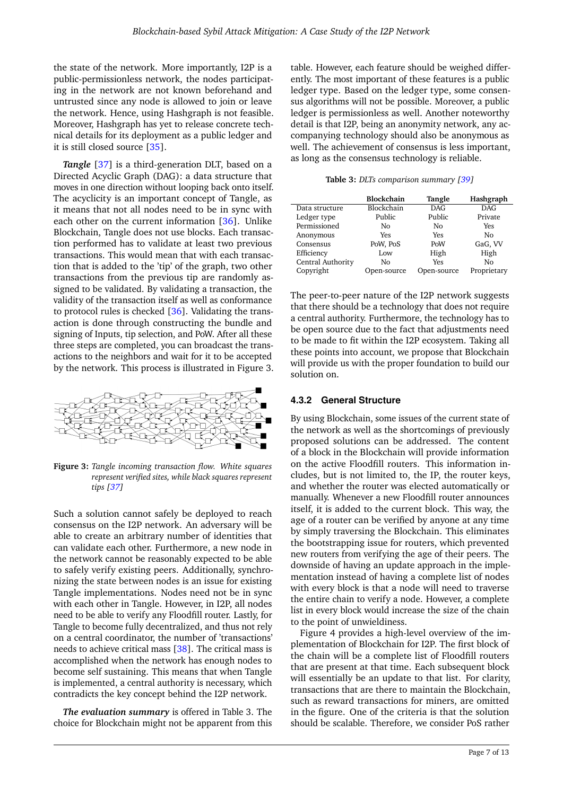the state of the network. More importantly, I2P is a public-permissionless network, the nodes participating in the network are not known beforehand and untrusted since any node is allowed to join or leave the network. Hence, using Hashgraph is not feasible. Moreover, Hashgraph has yet to release concrete technical details for its deployment as a public ledger and it is still closed source [\[35\]](#page-11-20).

*Tangle* [\[37\]](#page-11-22) is a third-generation DLT, based on a Directed Acyclic Graph (DAG): a data structure that moves in one direction without looping back onto itself. The acyclicity is an important concept of Tangle, as it means that not all nodes need to be in sync with each other on the current information [\[36\]](#page-11-21). Unlike Blockchain, Tangle does not use blocks. Each transaction performed has to validate at least two previous transactions. This would mean that with each transaction that is added to the 'tip' of the graph, two other transactions from the previous tip are randomly assigned to be validated. By validating a transaction, the validity of the transaction itself as well as conformance to protocol rules is checked [\[36\]](#page-11-21). Validating the transaction is done through constructing the bundle and signing of Inputs, tip selection, and PoW. After all these three steps are completed, you can broadcast the transactions to the neighbors and wait for it to be accepted by the network. This process is illustrated in Figure [3.](#page-6-0)

<span id="page-6-0"></span>

**Figure 3:** *Tangle incoming transaction flow. White squares represent verified sites, while black squares represent tips [\[37\]](#page-11-22)*

Such a solution cannot safely be deployed to reach consensus on the I2P network. An adversary will be able to create an arbitrary number of identities that can validate each other. Furthermore, a new node in the network cannot be reasonably expected to be able to safely verify existing peers. Additionally, synchronizing the state between nodes is an issue for existing Tangle implementations. Nodes need not be in sync with each other in Tangle. However, in I2P, all nodes need to be able to verify any Floodfill router. Lastly, for Tangle to become fully decentralized, and thus not rely on a central coordinator, the number of 'transactions' needs to achieve critical mass [\[38\]](#page-11-23). The critical mass is accomplished when the network has enough nodes to become self sustaining. This means that when Tangle is implemented, a central authority is necessary, which contradicts the key concept behind the I2P network.

*The evaluation summary* is offered in Table [3.](#page-6-1) The choice for Blockchain might not be apparent from this

table. However, each feature should be weighed differently. The most important of these features is a public ledger type. Based on the ledger type, some consensus algorithms will not be possible. Moreover, a public ledger is permissionless as well. Another noteworthy detail is that I2P, being an anonymity network, any accompanying technology should also be anonymous as well. The achievement of consensus is less important, as long as the consensus technology is reliable.

**Table 3:** *DLTs comparison summary [\[39\]](#page-12-1)*

<span id="page-6-1"></span>

|                   | Blockchain  | Tangle      | Hashgraph   |
|-------------------|-------------|-------------|-------------|
| Data structure    | Blockchain  | <b>DAG</b>  | <b>DAG</b>  |
| Ledger type       | Public      | Public      | Private     |
| Permissioned      | No          | No          | Yes         |
| Anonymous         | Yes         | <b>Yes</b>  | No          |
| Consensus         | PoW, PoS    | PoW         | GaG, VV     |
| Efficiency        | Low         | High        | High        |
| Central Authority | No          | <b>Yes</b>  | No          |
| Copyright         | Open-source | Open-source | Proprietary |

The peer-to-peer nature of the I2P network suggests that there should be a technology that does not require a central authority. Furthermore, the technology has to be open source due to the fact that adjustments need to be made to fit within the I2P ecosystem. Taking all these points into account, we propose that Blockchain will provide us with the proper foundation to build our solution on.

#### **4.3.2 General Structure**

By using Blockchain, some issues of the current state of the network as well as the shortcomings of previously proposed solutions can be addressed. The content of a block in the Blockchain will provide information on the active Floodfill routers. This information includes, but is not limited to, the IP, the router keys, and whether the router was elected automatically or manually. Whenever a new Floodfill router announces itself, it is added to the current block. This way, the age of a router can be verified by anyone at any time by simply traversing the Blockchain. This eliminates the bootstrapping issue for routers, which prevented new routers from verifying the age of their peers. The downside of having an update approach in the implementation instead of having a complete list of nodes with every block is that a node will need to traverse the entire chain to verify a node. However, a complete list in every block would increase the size of the chain to the point of unwieldiness.

Figure [4](#page-7-0) provides a high-level overview of the implementation of Blockchain for I2P. The first block of the chain will be a complete list of Floodfill routers that are present at that time. Each subsequent block will essentially be an update to that list. For clarity, transactions that are there to maintain the Blockchain, such as reward transactions for miners, are omitted in the figure. One of the criteria is that the solution should be scalable. Therefore, we consider PoS rather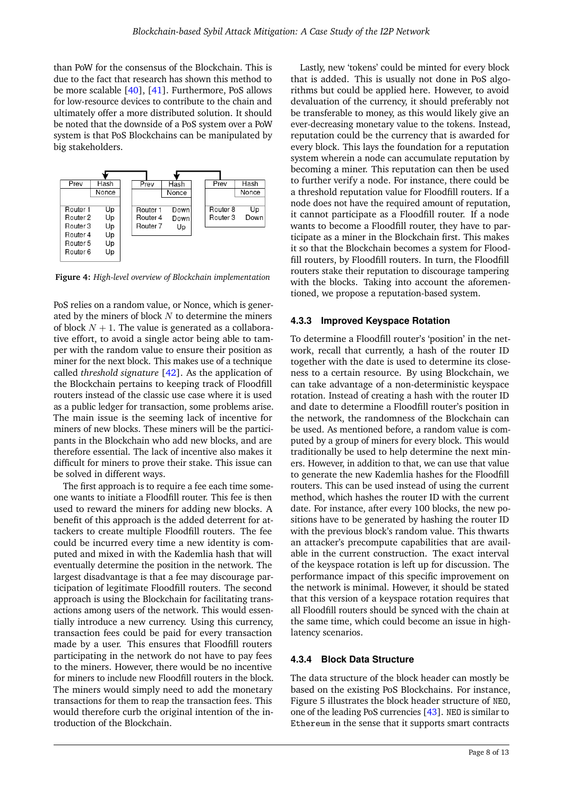than PoW for the consensus of the Blockchain. This is due to the fact that research has shown this method to be more scalable [\[40\]](#page-12-2), [\[41\]](#page-12-3). Furthermore, PoS allows for low-resource devices to contribute to the chain and ultimately offer a more distributed solution. It should be noted that the downside of a PoS system over a PoW system is that PoS Blockchains can be manipulated by big stakeholders.

<span id="page-7-0"></span>

**Figure 4:** *High-level overview of Blockchain implementation*

PoS relies on a random value, or Nonce, which is generated by the miners of block  $N$  to determine the miners of block  $N + 1$ . The value is generated as a collaborative effort, to avoid a single actor being able to tamper with the random value to ensure their position as miner for the next block. This makes use of a technique called *threshold signature* [\[42\]](#page-12-4). As the application of the Blockchain pertains to keeping track of Floodfill routers instead of the classic use case where it is used as a public ledger for transaction, some problems arise. The main issue is the seeming lack of incentive for miners of new blocks. These miners will be the participants in the Blockchain who add new blocks, and are therefore essential. The lack of incentive also makes it difficult for miners to prove their stake. This issue can be solved in different ways.

The first approach is to require a fee each time someone wants to initiate a Floodfill router. This fee is then used to reward the miners for adding new blocks. A benefit of this approach is the added deterrent for attackers to create multiple Floodfill routers. The fee could be incurred every time a new identity is computed and mixed in with the Kademlia hash that will eventually determine the position in the network. The largest disadvantage is that a fee may discourage participation of legitimate Floodfill routers. The second approach is using the Blockchain for facilitating transactions among users of the network. This would essentially introduce a new currency. Using this currency, transaction fees could be paid for every transaction made by a user. This ensures that Floodfill routers participating in the network do not have to pay fees to the miners. However, there would be no incentive for miners to include new Floodfill routers in the block. The miners would simply need to add the monetary transactions for them to reap the transaction fees. This would therefore curb the original intention of the introduction of the Blockchain.

Lastly, new 'tokens' could be minted for every block that is added. This is usually not done in PoS algorithms but could be applied here. However, to avoid devaluation of the currency, it should preferably not be transferable to money, as this would likely give an ever-decreasing monetary value to the tokens. Instead, reputation could be the currency that is awarded for every block. This lays the foundation for a reputation system wherein a node can accumulate reputation by becoming a miner. This reputation can then be used to further verify a node. For instance, there could be a threshold reputation value for Floodfill routers. If a node does not have the required amount of reputation, it cannot participate as a Floodfill router. If a node wants to become a Floodfill router, they have to participate as a miner in the Blockchain first. This makes it so that the Blockchain becomes a system for Floodfill routers, by Floodfill routers. In turn, the Floodfill routers stake their reputation to discourage tampering with the blocks. Taking into account the aforementioned, we propose a reputation-based system.

#### **4.3.3 Improved Keyspace Rotation**

To determine a Floodfill router's 'position' in the network, recall that currently, a hash of the router ID together with the date is used to determine its closeness to a certain resource. By using Blockchain, we can take advantage of a non-deterministic keyspace rotation. Instead of creating a hash with the router ID and date to determine a Floodfill router's position in the network, the randomness of the Blockchain can be used. As mentioned before, a random value is computed by a group of miners for every block. This would traditionally be used to help determine the next miners. However, in addition to that, we can use that value to generate the new Kademlia hashes for the Floodfill routers. This can be used instead of using the current method, which hashes the router ID with the current date. For instance, after every 100 blocks, the new positions have to be generated by hashing the router ID with the previous block's random value. This thwarts an attacker's precompute capabilities that are available in the current construction. The exact interval of the keyspace rotation is left up for discussion. The performance impact of this specific improvement on the network is minimal. However, it should be stated that this version of a keyspace rotation requires that all Floodfill routers should be synced with the chain at the same time, which could become an issue in highlatency scenarios.

#### **4.3.4 Block Data Structure**

The data structure of the block header can mostly be based on the existing PoS Blockchains. For instance, Figure [5](#page-8-0) illustrates the block header structure of NEO, one of the leading PoS currencies  $[43]$ . NEO is similar to Ethereum in the sense that it supports smart contracts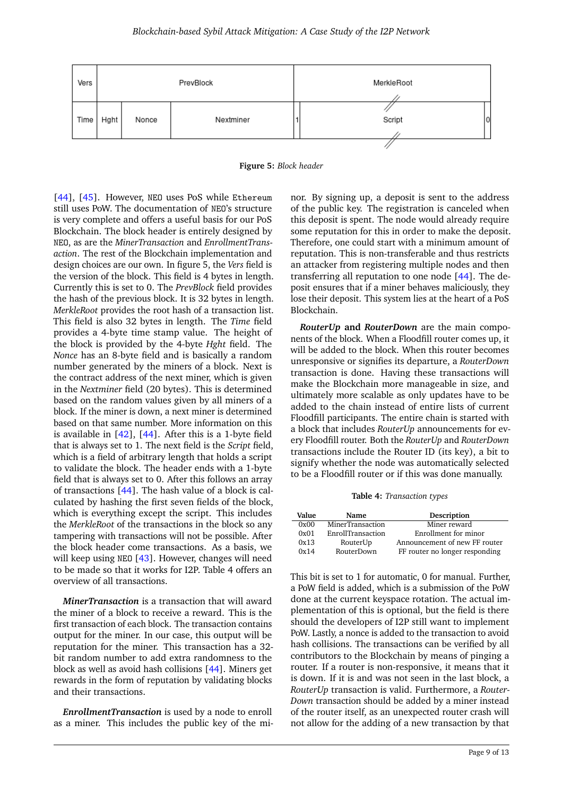<span id="page-8-0"></span>

**Figure 5:** *Block header*

[\[44\]](#page-12-6), [\[45\]](#page-12-7). However, NEO uses PoS while Ethereum still uses PoW. The documentation of NEO's structure is very complete and offers a useful basis for our PoS Blockchain. The block header is entirely designed by NEO, as are the *MinerTransaction* and *EnrollmentTransaction*. The rest of the Blockchain implementation and design choices are our own. In figure [5,](#page-8-0) the *Vers* field is the version of the block. This field is 4 bytes in length. Currently this is set to 0. The *PrevBlock* field provides the hash of the previous block. It is 32 bytes in length. *MerkleRoot* provides the root hash of a transaction list. This field is also 32 bytes in length. The *Time* field provides a 4-byte time stamp value. The height of the block is provided by the 4-byte *Hght* field. The *Nonce* has an 8-byte field and is basically a random number generated by the miners of a block. Next is the contract address of the next miner, which is given in the *Nextminer* field (20 bytes). This is determined based on the random values given by all miners of a block. If the miner is down, a next miner is determined based on that same number. More information on this is available in [\[42\]](#page-12-4), [\[44\]](#page-12-6). After this is a 1-byte field that is always set to 1. The next field is the *Script* field, which is a field of arbitrary length that holds a script to validate the block. The header ends with a 1-byte field that is always set to 0. After this follows an array of transactions [\[44\]](#page-12-6). The hash value of a block is calculated by hashing the first seven fields of the block, which is everything except the script. This includes the *MerkleRoot* of the transactions in the block so any tampering with transactions will not be possible. After the block header come transactions. As a basis, we will keep using NEO [\[43\]](#page-12-5). However, changes will need to be made so that it works for I2P. Table [4](#page-8-1) offers an overview of all transactions.

*MinerTransaction* is a transaction that will award the miner of a block to receive a reward. This is the first transaction of each block. The transaction contains output for the miner. In our case, this output will be reputation for the miner. This transaction has a 32 bit random number to add extra randomness to the block as well as avoid hash collisions [\[44\]](#page-12-6). Miners get rewards in the form of reputation by validating blocks and their transactions.

*EnrollmentTransaction* is used by a node to enroll as a miner. This includes the public key of the minor. By signing up, a deposit is sent to the address of the public key. The registration is canceled when this deposit is spent. The node would already require some reputation for this in order to make the deposit. Therefore, one could start with a minimum amount of reputation. This is non-transferable and thus restricts an attacker from registering multiple nodes and then transferring all reputation to one node [\[44\]](#page-12-6). The deposit ensures that if a miner behaves maliciously, they lose their deposit. This system lies at the heart of a PoS Blockchain.

*RouterUp* **and** *RouterDown* are the main components of the block. When a Floodfill router comes up, it will be added to the block. When this router becomes unresponsive or signifies its departure, a *RouterDown* transaction is done. Having these transactions will make the Blockchain more manageable in size, and ultimately more scalable as only updates have to be added to the chain instead of entire lists of current Floodfill participants. The entire chain is started with a block that includes *RouterUp* announcements for every Floodfill router. Both the *RouterUp* and *RouterDown* transactions include the Router ID (its key), a bit to signify whether the node was automatically selected to be a Floodfill router or if this was done manually.

**Table 4:** *Transaction types*

<span id="page-8-1"></span>

| Value | Name              | Description                    |
|-------|-------------------|--------------------------------|
| 0x00  | MinerTransaction  | Miner reward                   |
| 0x01  | EnrollTransaction | Enrollment for minor           |
| 0x13  | RouterUp          | Announcement of new FF router  |
| 0x14  | <b>RouterDown</b> | FF router no longer responding |

This bit is set to 1 for automatic, 0 for manual. Further, a PoW field is added, which is a submission of the PoW done at the current keyspace rotation. The actual implementation of this is optional, but the field is there should the developers of I2P still want to implement PoW. Lastly, a nonce is added to the transaction to avoid hash collisions. The transactions can be verified by all contributors to the Blockchain by means of pinging a router. If a router is non-responsive, it means that it is down. If it is and was not seen in the last block, a *RouterUp* transaction is valid. Furthermore, a *Router-Down* transaction should be added by a miner instead of the router itself, as an unexpected router crash will not allow for the adding of a new transaction by that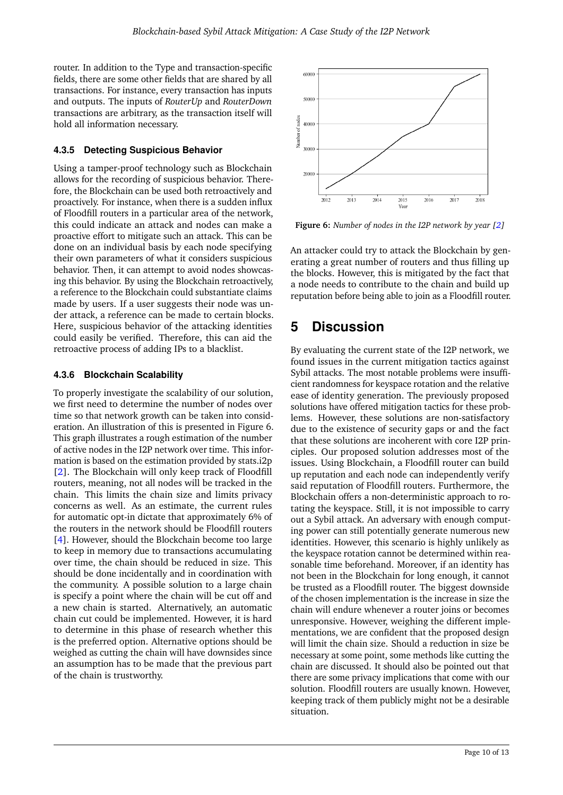router. In addition to the Type and transaction-specific fields, there are some other fields that are shared by all transactions. For instance, every transaction has inputs and outputs. The inputs of *RouterUp* and *RouterDown* transactions are arbitrary, as the transaction itself will hold all information necessary.

## **4.3.5 Detecting Suspicious Behavior**

Using a tamper-proof technology such as Blockchain allows for the recording of suspicious behavior. Therefore, the Blockchain can be used both retroactively and proactively. For instance, when there is a sudden influx of Floodfill routers in a particular area of the network, this could indicate an attack and nodes can make a proactive effort to mitigate such an attack. This can be done on an individual basis by each node specifying their own parameters of what it considers suspicious behavior. Then, it can attempt to avoid nodes showcasing this behavior. By using the Blockchain retroactively, a reference to the Blockchain could substantiate claims made by users. If a user suggests their node was under attack, a reference can be made to certain blocks. Here, suspicious behavior of the attacking identities could easily be verified. Therefore, this can aid the retroactive process of adding IPs to a blacklist.

## **4.3.6 Blockchain Scalability**

To properly investigate the scalability of our solution, we first need to determine the number of nodes over time so that network growth can be taken into consideration. An illustration of this is presented in Figure [6.](#page-9-1) This graph illustrates a rough estimation of the number of active nodes in the I2P network over time. This information is based on the estimation provided by stats.i2p [\[2\]](#page-10-1). The Blockchain will only keep track of Floodfill routers, meaning, not all nodes will be tracked in the chain. This limits the chain size and limits privacy concerns as well. As an estimate, the current rules for automatic opt-in dictate that approximately 6% of the routers in the network should be Floodfill routers [\[4\]](#page-10-3). However, should the Blockchain become too large to keep in memory due to transactions accumulating over time, the chain should be reduced in size. This should be done incidentally and in coordination with the community. A possible solution to a large chain is specify a point where the chain will be cut off and a new chain is started. Alternatively, an automatic chain cut could be implemented. However, it is hard to determine in this phase of research whether this is the preferred option. Alternative options should be weighed as cutting the chain will have downsides since an assumption has to be made that the previous part of the chain is trustworthy.

<span id="page-9-1"></span>

**Figure 6:** *Number of nodes in the I2P network by year [\[2\]](#page-10-1)*

An attacker could try to attack the Blockchain by generating a great number of routers and thus filling up the blocks. However, this is mitigated by the fact that a node needs to contribute to the chain and build up reputation before being able to join as a Floodfill router.

# <span id="page-9-0"></span>**5 Discussion**

By evaluating the current state of the I2P network, we found issues in the current mitigation tactics against Sybil attacks. The most notable problems were insufficient randomness for keyspace rotation and the relative ease of identity generation. The previously proposed solutions have offered mitigation tactics for these problems. However, these solutions are non-satisfactory due to the existence of security gaps or and the fact that these solutions are incoherent with core I2P principles. Our proposed solution addresses most of the issues. Using Blockchain, a Floodfill router can build up reputation and each node can independently verify said reputation of Floodfill routers. Furthermore, the Blockchain offers a non-deterministic approach to rotating the keyspace. Still, it is not impossible to carry out a Sybil attack. An adversary with enough computing power can still potentially generate numerous new identities. However, this scenario is highly unlikely as the keyspace rotation cannot be determined within reasonable time beforehand. Moreover, if an identity has not been in the Blockchain for long enough, it cannot be trusted as a Floodfill router. The biggest downside of the chosen implementation is the increase in size the chain will endure whenever a router joins or becomes unresponsive. However, weighing the different implementations, we are confident that the proposed design will limit the chain size. Should a reduction in size be necessary at some point, some methods like cutting the chain are discussed. It should also be pointed out that there are some privacy implications that come with our solution. Floodfill routers are usually known. However, keeping track of them publicly might not be a desirable situation.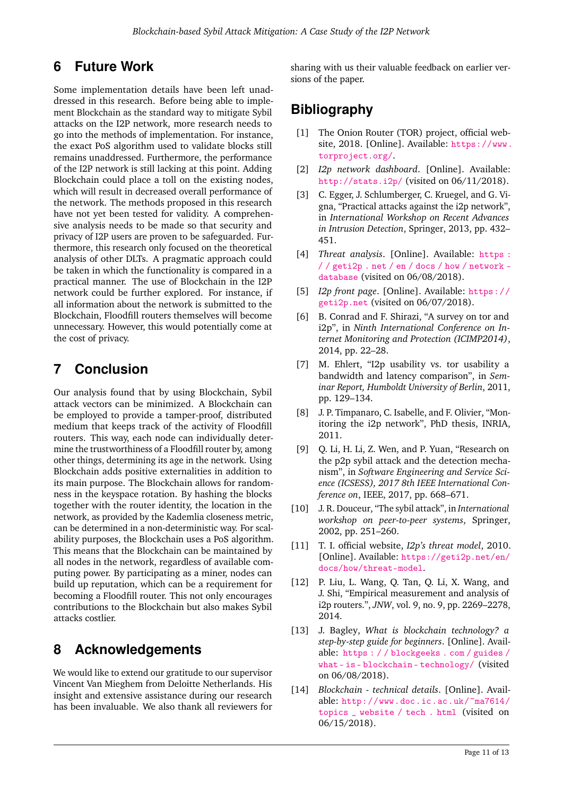# <span id="page-10-4"></span>**6 Future Work**

Some implementation details have been left unaddressed in this research. Before being able to implement Blockchain as the standard way to mitigate Sybil attacks on the I2P network, more research needs to go into the methods of implementation. For instance, the exact PoS algorithm used to validate blocks still remains unaddressed. Furthermore, the performance of the I2P network is still lacking at this point. Adding Blockchain could place a toll on the existing nodes, which will result in decreased overall performance of the network. The methods proposed in this research have not yet been tested for validity. A comprehensive analysis needs to be made so that security and privacy of I2P users are proven to be safeguarded. Furthermore, this research only focused on the theoretical analysis of other DLTs. A pragmatic approach could be taken in which the functionality is compared in a practical manner. The use of Blockchain in the I2P network could be further explored. For instance, if all information about the network is submitted to the Blockchain, Floodfill routers themselves will become unnecessary. However, this would potentially come at the cost of privacy.

# <span id="page-10-5"></span>**7 Conclusion**

Our analysis found that by using Blockchain, Sybil attack vectors can be minimized. A Blockchain can be employed to provide a tamper-proof, distributed medium that keeps track of the activity of Floodfill routers. This way, each node can individually determine the trustworthiness of a Floodfill router by, among other things, determining its age in the network. Using Blockchain adds positive externalities in addition to its main purpose. The Blockchain allows for randomness in the keyspace rotation. By hashing the blocks together with the router identity, the location in the network, as provided by the Kademlia closeness metric, can be determined in a non-deterministic way. For scalability purposes, the Blockchain uses a PoS algorithm. This means that the Blockchain can be maintained by all nodes in the network, regardless of available computing power. By participating as a miner, nodes can build up reputation, which can be a requirement for becoming a Floodfill router. This not only encourages contributions to the Blockchain but also makes Sybil attacks costlier.

# **8 Acknowledgements**

We would like to extend our gratitude to our supervisor Vincent Van Mieghem from Deloitte Netherlands. His insight and extensive assistance during our research has been invaluable. We also thank all reviewers for

sharing with us their valuable feedback on earlier versions of the paper.

# **Bibliography**

- <span id="page-10-0"></span>[1] The Onion Router (TOR) project, official website, 2018. [Online]. Available: [https://www.](https://www.torproject.org/) [torproject.org/](https://www.torproject.org/).
- <span id="page-10-1"></span>[2] *I2p network dashboard*. [Online]. Available: <http://stats.i2p/> (visited on 06/11/2018).
- <span id="page-10-2"></span>[3] C. Egger, J. Schlumberger, C. Kruegel, and G. Vigna, "Practical attacks against the i2p network", in *International Workshop on Recent Advances in Intrusion Detection*, Springer, 2013, pp. 432– 451.
- <span id="page-10-3"></span>[4] *Threat analysis*. [Online]. Available: [https :](https://geti2p.net/en/docs/how/network-database) [/ / geti2p . net / en / docs / how / network](https://geti2p.net/en/docs/how/network-database)  [database](https://geti2p.net/en/docs/how/network-database) (visited on 06/08/2018).
- <span id="page-10-6"></span>[5] *I2p front page*. [Online]. Available: [https://](https://geti2p.net) [geti2p.net](https://geti2p.net) (visited on 06/07/2018).
- <span id="page-10-7"></span>[6] B. Conrad and F. Shirazi, "A survey on tor and i2p", in *Ninth International Conference on Internet Monitoring and Protection (ICIMP2014)*, 2014, pp. 22–28.
- <span id="page-10-8"></span>[7] M. Ehlert, "I2p usability vs. tor usability a bandwidth and latency comparison", in *Seminar Report, Humboldt University of Berlin*, 2011, pp. 129–134.
- <span id="page-10-9"></span>[8] J. P. Timpanaro, C. Isabelle, and F. Olivier, "Monitoring the i2p network", PhD thesis, INRIA, 2011.
- <span id="page-10-10"></span>[9] Q. Li, H. Li, Z. Wen, and P. Yuan, "Research on the p2p sybil attack and the detection mechanism", in *Software Engineering and Service Science (ICSESS), 2017 8th IEEE International Conference on*, IEEE, 2017, pp. 668–671.
- <span id="page-10-11"></span>[10] J. R. Douceur, "The sybil attack", in *International workshop on peer-to-peer systems*, Springer, 2002, pp. 251–260.
- <span id="page-10-12"></span>[11] T. I. official website, *I2p's threat model*, 2010. [Online]. Available: [https://geti2p.net/en/](https://geti2p.net/en/docs/how/threat-model) [docs/how/threat-model](https://geti2p.net/en/docs/how/threat-model).
- <span id="page-10-13"></span>[12] P. Liu, L. Wang, Q. Tan, Q. Li, X. Wang, and J. Shi, "Empirical measurement and analysis of i2p routers.", *JNW*, vol. 9, no. 9, pp. 2269–2278, 2014.
- <span id="page-10-14"></span>[13] J. Bagley, *What is blockchain technology? a step-by-step guide for beginners*. [Online]. Available: [https : / / blockgeeks . com / guides /](https://blockgeeks.com/guides/what-is-blockchain-technology/) [what - is - blockchain - technology/](https://blockgeeks.com/guides/what-is-blockchain-technology/) (visited on 06/08/2018).
- <span id="page-10-15"></span>[14] *Blockchain - technical details*. [Online]. Available: [http://www.doc.ic.ac.uk/~ma7614/](http://www.doc.ic.ac.uk/~ma7614/topics_website/tech.html) [topics \\_ website / tech . html](http://www.doc.ic.ac.uk/~ma7614/topics_website/tech.html) (visited on 06/15/2018).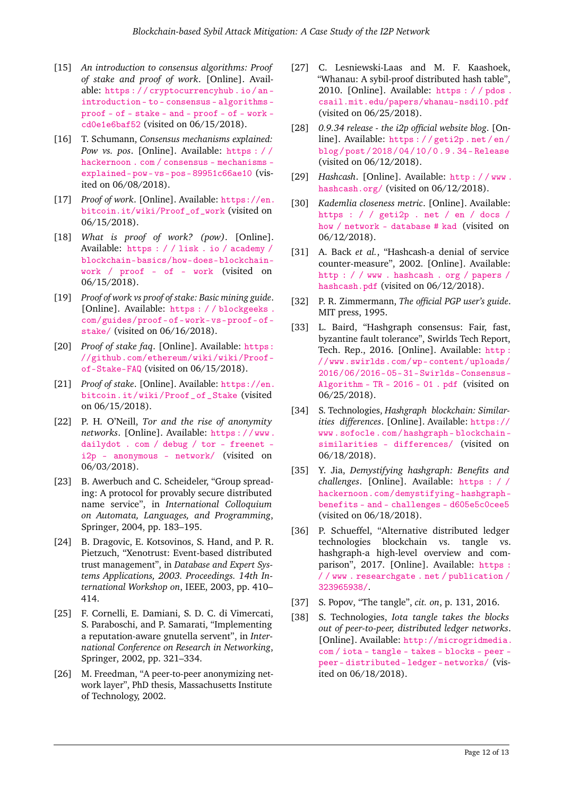- <span id="page-11-0"></span>[15] *An introduction to consensus algorithms: Proof of stake and proof of work*. [Online]. Available: [https : / / cryptocurrencyhub . io / an](https://cryptocurrencyhub.io/an-introduction-to-consensus-algorithms-proof-of-stake-and-proof-of-work-cd0e1e6baf52)  [introduction - to - consensus - algorithms](https://cryptocurrencyhub.io/an-introduction-to-consensus-algorithms-proof-of-stake-and-proof-of-work-cd0e1e6baf52)  [proof - of - stake - and - proof - of - work](https://cryptocurrencyhub.io/an-introduction-to-consensus-algorithms-proof-of-stake-and-proof-of-work-cd0e1e6baf52)  [cd0e1e6baf52](https://cryptocurrencyhub.io/an-introduction-to-consensus-algorithms-proof-of-stake-and-proof-of-work-cd0e1e6baf52) (visited on 06/15/2018).
- <span id="page-11-1"></span>[16] T. Schumann, *Consensus mechanisms explained: Pow vs. pos*. [Online]. Available: [https : / /](https://hackernoon.com/consensus-mechanisms-explained-pow-vs-pos-89951c66ae10) [hackernoon . com / consensus - mechanisms](https://hackernoon.com/consensus-mechanisms-explained-pow-vs-pos-89951c66ae10)  [explained- pow- vs- pos- 89951c66ae10](https://hackernoon.com/consensus-mechanisms-explained-pow-vs-pos-89951c66ae10) (visited on 06/08/2018).
- <span id="page-11-2"></span>[17] *Proof of work*. [Online]. Available: [https://en.](https://en.bitcoin.it/wiki/Proof_of_work) [bitcoin.it/wiki/Proof\\_of\\_work](https://en.bitcoin.it/wiki/Proof_of_work) (visited on 06/15/2018).
- <span id="page-11-3"></span>[18] *What is proof of work? (pow)*. [Online]. Available: [https : / / lisk . io / academy /](https://lisk.io/academy/blockchain-basics/how-does-blockchain-work/proof-of-work) [blockchain-basics/how-does-blockchain](https://lisk.io/academy/blockchain-basics/how-does-blockchain-work/proof-of-work)[work / proof - of - work](https://lisk.io/academy/blockchain-basics/how-does-blockchain-work/proof-of-work) (visited on 06/15/2018).
- <span id="page-11-4"></span>[19] *Proof of work vs proof of stake: Basic mining guide*. [Online]. Available: [https : / / blockgeeks .](https://blockgeeks.com/guides/proof-of-work-vs-proof-of-stake/) [com/guides/proof-of-work-vs-proof-of](https://blockgeeks.com/guides/proof-of-work-vs-proof-of-stake/)[stake/](https://blockgeeks.com/guides/proof-of-work-vs-proof-of-stake/) (visited on 06/16/2018).
- <span id="page-11-5"></span>[20] *Proof of stake faq.* [Online]. Available: [https:](https://github.com/ethereum/wiki/wiki/Proof-of-Stake-FAQ) [//github.com/ethereum/wiki/wiki/Proof](https://github.com/ethereum/wiki/wiki/Proof-of-Stake-FAQ)[of-Stake-FAQ](https://github.com/ethereum/wiki/wiki/Proof-of-Stake-FAQ) (visited on 06/15/2018).
- <span id="page-11-6"></span>[21] *Proof of stake*. [Online]. Available: [https://en.](https://en.bitcoin.it/wiki/Proof_of_Stake) [bitcoin.it/wiki/Proof\\_of\\_Stake](https://en.bitcoin.it/wiki/Proof_of_Stake) (visited on 06/15/2018).
- <span id="page-11-7"></span>[22] P. H. O'Neill, *Tor and the rise of anonymity networks*. [Online]. Available: [https : / / www .](https://www.dailydot.com/debug/tor-freenet-i2p-anonymous-network/) [dailydot . com / debug / tor - freenet](https://www.dailydot.com/debug/tor-freenet-i2p-anonymous-network/)  [i2p - anonymous - network/](https://www.dailydot.com/debug/tor-freenet-i2p-anonymous-network/) (visited on 06/03/2018).
- <span id="page-11-8"></span>[23] B. Awerbuch and C. Scheideler, "Group spreading: A protocol for provably secure distributed name service", in *International Colloquium on Automata, Languages, and Programming*, Springer, 2004, pp. 183–195.
- <span id="page-11-9"></span>[24] B. Dragovic, E. Kotsovinos, S. Hand, and P. R. Pietzuch, "Xenotrust: Event-based distributed trust management", in *Database and Expert Systems Applications, 2003. Proceedings. 14th International Workshop on*, IEEE, 2003, pp. 410– 414.
- <span id="page-11-10"></span>[25] F. Cornelli, E. Damiani, S. D. C. di Vimercati, S. Paraboschi, and P. Samarati, "Implementing a reputation-aware gnutella servent", in *International Conference on Research in Networking*, Springer, 2002, pp. 321–334.
- <span id="page-11-11"></span>[26] M. Freedman, "A peer-to-peer anonymizing network layer", PhD thesis, Massachusetts Institute of Technology, 2002.
- <span id="page-11-12"></span>[27] C. Lesniewski-Laas and M. F. Kaashoek, "Whanau: A sybil-proof distributed hash table", 2010. [Online]. Available: [https : / / pdos .](https://pdos.csail.mit.edu/papers/whanau-nsdi10.pdf) [csail.mit.edu/papers/whanau-nsdi10.pdf](https://pdos.csail.mit.edu/papers/whanau-nsdi10.pdf) (visited on 06/25/2018).
- <span id="page-11-13"></span>[28] *0.9.34 release - the i2p official website blog*. [Online]. Available: [https : / / geti2p . net / en /](https://geti2p.net/en/blog/post/2018/04/10/0.9.34-Release) [blog / post / 2018 / 04 / 10 / 0 . 9 . 34 - Release](https://geti2p.net/en/blog/post/2018/04/10/0.9.34-Release) (visited on 06/12/2018).
- <span id="page-11-14"></span>[29] *Hashcash*. [Online]. Available: [http : / / www .](http://www.hashcash.org/) [hashcash.org/](http://www.hashcash.org/) (visited on 06/12/2018).
- <span id="page-11-15"></span>[30] *Kademlia closeness metric*. [Online]. Available: [https : / / geti2p . net / en / docs /](https://geti2p.net/en/docs/how/network-database#kad) [how / network - database # kad](https://geti2p.net/en/docs/how/network-database#kad) (visited on 06/12/2018).
- <span id="page-11-16"></span>[31] A. Back *et al.*, "Hashcash-a denial of service counter-measure", 2002. [Online]. Available: [http : / / www . hashcash . org / papers /](http://www.hashcash.org/papers/hashcash.pdf) [hashcash.pdf](http://www.hashcash.org/papers/hashcash.pdf) (visited on 06/12/2018).
- <span id="page-11-17"></span>[32] P. R. Zimmermann, *The official PGP user's guide*. MIT press, 1995.
- <span id="page-11-18"></span>[33] L. Baird, "Hashgraph consensus: Fair, fast, byzantine fault tolerance", Swirlds Tech Report, Tech. Rep., 2016. [Online]. Available: [http :](http://www.swirlds.com/wp-content/uploads/2016/06/2016-05-31-Swirlds-Consensus-Algorithm-TR-2016-01.pdf) [//www.swirlds.com/wp- content/uploads/](http://www.swirlds.com/wp-content/uploads/2016/06/2016-05-31-Swirlds-Consensus-Algorithm-TR-2016-01.pdf) [2016/06/2016- 05- 31- Swirlds- Consensus-](http://www.swirlds.com/wp-content/uploads/2016/06/2016-05-31-Swirlds-Consensus-Algorithm-TR-2016-01.pdf)[Algorithm - TR - 2016 - 01 . pdf](http://www.swirlds.com/wp-content/uploads/2016/06/2016-05-31-Swirlds-Consensus-Algorithm-TR-2016-01.pdf) (visited on 06/25/2018).
- <span id="page-11-19"></span>[34] S. Technologies, *Hashgraph blockchain: Similarities differences*. [Online]. Available: [https://](https://www.sofocle.com/hashgraph-blockchain-similarities-differences/) [www . sofocle . com / hashgraph - blockchain](https://www.sofocle.com/hashgraph-blockchain-similarities-differences/)  [similarities - differences/](https://www.sofocle.com/hashgraph-blockchain-similarities-differences/) (visited on 06/18/2018).
- <span id="page-11-20"></span>[35] Y. Jia, *Demystifying hashgraph: Benefits and challenges*. [Online]. Available: [https : / /](https://hackernoon.com/demystifying-hashgraph-benefits-and-challenges-d605e5c0cee5) [hackernoon.com/demystifying- hashgraph](https://hackernoon.com/demystifying-hashgraph-benefits-and-challenges-d605e5c0cee5)[benefits - and - challenges - d605e5c0cee5](https://hackernoon.com/demystifying-hashgraph-benefits-and-challenges-d605e5c0cee5) (visited on 06/18/2018).
- <span id="page-11-21"></span>[36] P. Schueffel, "Alternative distributed ledger technologies blockchain vs. tangle vs. hashgraph-a high-level overview and comparison", 2017. [Online]. Available: [https :](https://www.researchgate.net/publication/323965938/) [/ / www . researchgate . net / publication /](https://www.researchgate.net/publication/323965938/) [323965938/](https://www.researchgate.net/publication/323965938/).
- <span id="page-11-22"></span>[37] S. Popov, "The tangle", *cit. on*, p. 131, 2016.
- <span id="page-11-23"></span>[38] S. Technologies, *Iota tangle takes the blocks out of peer-to-peer, distributed ledger networks*. [Online]. Available: [http://microgridmedia.](http://microgridmedia.com/iota-tangle-takes-blocks-peer-peer-distributed-ledger-networks/) [com / iota - tangle - takes - blocks - peer](http://microgridmedia.com/iota-tangle-takes-blocks-peer-peer-distributed-ledger-networks/)  [peer- distributed- ledger- networks/](http://microgridmedia.com/iota-tangle-takes-blocks-peer-peer-distributed-ledger-networks/) (visited on 06/18/2018).